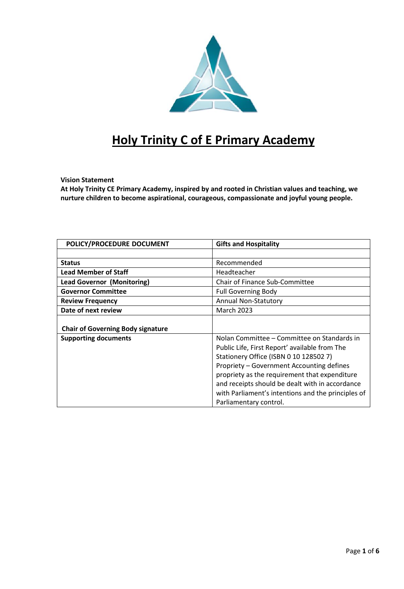

# **Holy Trinity C of E Primary Academy**

# **Vision Statement**

**At Holy Trinity CE Primary Academy, inspired by and rooted in Christian values and teaching, we nurture children to become aspirational, courageous, compassionate and joyful young people.**

| POLICY/PROCEDURE DOCUMENT                | <b>Gifts and Hospitality</b>                       |  |  |  |
|------------------------------------------|----------------------------------------------------|--|--|--|
|                                          |                                                    |  |  |  |
| <b>Status</b>                            | Recommended                                        |  |  |  |
| <b>Lead Member of Staff</b>              | Headteacher                                        |  |  |  |
| <b>Lead Governor (Monitoring)</b>        | <b>Chair of Finance Sub-Committee</b>              |  |  |  |
| <b>Governor Committee</b>                | <b>Full Governing Body</b>                         |  |  |  |
| <b>Review Frequency</b>                  | <b>Annual Non-Statutory</b>                        |  |  |  |
| Date of next review                      | <b>March 2023</b>                                  |  |  |  |
|                                          |                                                    |  |  |  |
| <b>Chair of Governing Body signature</b> |                                                    |  |  |  |
| <b>Supporting documents</b>              | Nolan Committee – Committee on Standards in        |  |  |  |
|                                          | Public Life, First Report' available from The      |  |  |  |
|                                          | Stationery Office (ISBN 0 10 128502 7)             |  |  |  |
|                                          | Propriety - Government Accounting defines          |  |  |  |
|                                          | propriety as the requirement that expenditure      |  |  |  |
|                                          | and receipts should be dealt with in accordance    |  |  |  |
|                                          | with Parliament's intentions and the principles of |  |  |  |
|                                          | Parliamentary control.                             |  |  |  |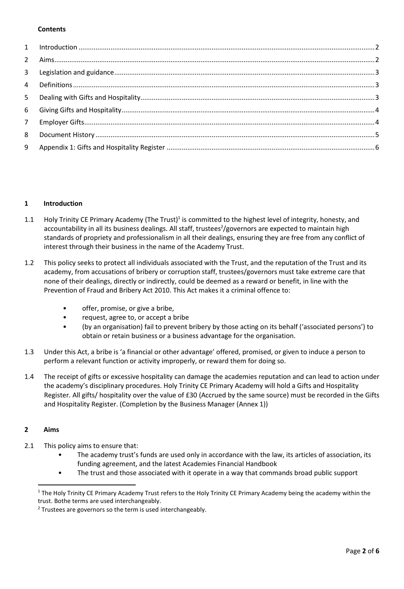### **Contents**

#### <span id="page-1-0"></span>**1 Introduction**

- 1.1 Holy Trinity CE Primary Academy (The Trust)<sup>1</sup> is committed to the highest level of integrity, honesty, and accountability in all its business dealings. All staff, trustees<sup>2</sup>/governors are expected to maintain high standards of propriety and professionalism in all their dealings, ensuring they are free from any conflict of interest through their business in the name of the Academy Trust.
- 1.2 This policy seeks to protect all individuals associated with the Trust, and the reputation of the Trust and its academy, from accusations of bribery or corruption staff, trustees/governors must take extreme care that none of their dealings, directly or indirectly, could be deemed as a reward or benefit, in line with the Prevention of Fraud and Bribery Act 2010. This Act makes it a criminal offence to:
	- offer, promise, or give a bribe,
	- request, agree to, or accept a bribe
	- (by an organisation) fail to prevent bribery by those acting on its behalf ('associated persons') to obtain or retain business or a business advantage for the organisation.
- 1.3 Under this Act, a bribe is 'a financial or other advantage' offered, promised, or given to induce a person to perform a relevant function or activity improperly, or reward them for doing so.
- 1.4 The receipt of gifts or excessive hospitality can damage the academies reputation and can lead to action under the academy's disciplinary procedures. Holy Trinity CE Primary Academy will hold a Gifts and Hospitality Register. All gifts/ hospitality over the value of £30 (Accrued by the same source) must be recorded in the Gifts and Hospitality Register. (Completion by the Business Manager (Annex 1))

# <span id="page-1-1"></span>**2 Aims**

 $\overline{a}$ 

- 2.1 This policy aims to ensure that:
	- The academy trust's funds are used only in accordance with the law, its articles of association, its funding agreement, and the latest Academies Financial Handbook
	- The trust and those associated with it operate in a way that commands broad public support

<sup>&</sup>lt;sup>1</sup> The Holy Trinity CE Primary Academy Trust refers to the Holy Trinity CE Primary Academy being the academy within the trust. Bothe terms are used interchangeably.

 $2$  Trustees are governors so the term is used interchangeably.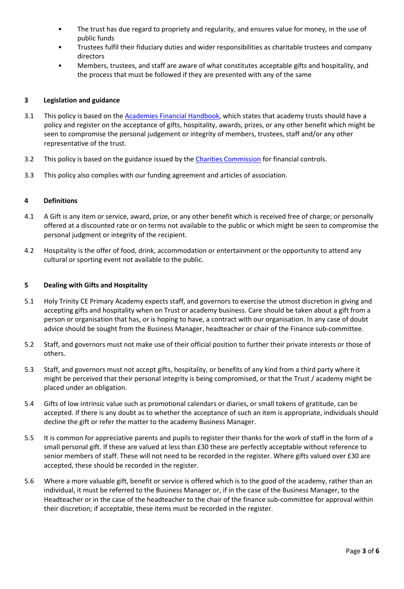- The trust has due regard to propriety and regularity, and ensures value for money, in the use of public funds
- Trustees fulfil their fiduciary duties and wider responsibilities as charitable trustees and company directors
- Members, trustees, and staff are aware of what constitutes acceptable gifts and hospitality, and the process that must be followed if they are presented with any of the same

# <span id="page-2-0"></span>**3 Legislation and guidance**

- 3.1 This policy is based on the **Academies Financial Handbook**, which states that academy trusts should have a policy and register on the acceptance of gifts, hospitality, awards, prizes, or any other benefit which might be seen to compromise the personal judgement or integrity of members, trustees, staff and/or any other representative of the trust.
- 3.2 This policy is based on the guidance issued by the [Charities Commission](https://www.gov.uk/government/publications/internal-financial-controls-for-charities-cc8/internal-financial-controls-for-charities) for financial controls.
- <span id="page-2-1"></span>3.3 This policy also complies with our funding agreement and articles of association.

# **4 Definitions**

- 4.1 A Gift is any item or service, award, prize, or any other benefit which is received free of charge; or personally offered at a discounted rate or on terms not available to the public or which might be seen to compromise the personal judgment or integrity of the recipient.
- 4.2 Hospitality is the offer of food, drink, accommodation or entertainment or the opportunity to attend any cultural or sporting event not available to the public.

# <span id="page-2-2"></span>**5 Dealing with Gifts and Hospitality**

- 5.1 Holy Trinity CE Primary Academy expects staff, and governors to exercise the utmost discretion in giving and accepting gifts and hospitality when on Trust or academy business. Care should be taken about a gift from a person or organisation that has, or is hoping to have, a contract with our organisation. In any case of doubt advice should be sought from the Business Manager, headteacher or chair of the Finance sub-committee.
- 5.2 Staff, and governors must not make use of their official position to further their private interests or those of others.
- 5.3 Staff, and governors must not accept gifts, hospitality, or benefits of any kind from a third party where it might be perceived that their personal integrity is being compromised, or that the Trust / academy might be placed under an obligation.
- 5.4 Gifts of low intrinsic value such as promotional calendars or diaries, or small tokens of gratitude, can be accepted. If there is any doubt as to whether the acceptance of such an item is appropriate, individuals should decline the gift or refer the matter to the academy Business Manager.
- 5.5 It is common for appreciative parents and pupils to register their thanks for the work of staff in the form of a small personal gift. If these are valued at less than £30 these are perfectly acceptable without reference to senior members of staff. These will not need to be recorded in the register. Where gifts valued over £30 are accepted, these should be recorded in the register.
- 5.6 Where a more valuable gift, benefit or service is offered which is to the good of the academy, rather than an individual, it must be referred to the Business Manager or, if in the case of the Business Manager, to the Headteacher or in the case of the headteacher to the chair of the finance sub-committee for approval within their discretion; if acceptable, these items must be recorded in the register.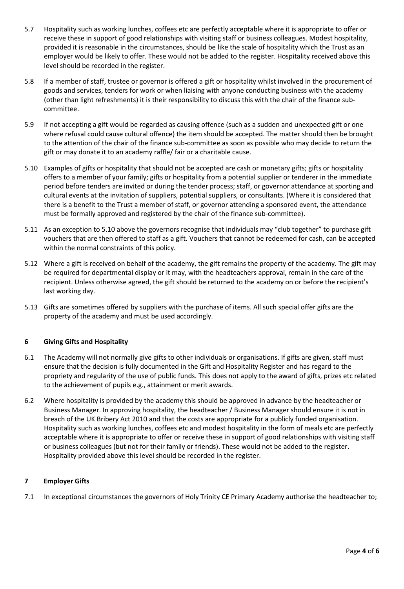- 5.7 Hospitality such as working lunches, coffees etc are perfectly acceptable where it is appropriate to offer or receive these in support of good relationships with visiting staff or business colleagues. Modest hospitality, provided it is reasonable in the circumstances, should be like the scale of hospitality which the Trust as an employer would be likely to offer. These would not be added to the register. Hospitality received above this level should be recorded in the register.
- 5.8 If a member of staff, trustee or governor is offered a gift or hospitality whilst involved in the procurement of goods and services, tenders for work or when liaising with anyone conducting business with the academy (other than light refreshments) it is their responsibility to discuss this with the chair of the finance subcommittee.
- 5.9 If not accepting a gift would be regarded as causing offence (such as a sudden and unexpected gift or one where refusal could cause cultural offence) the item should be accepted. The matter should then be brought to the attention of the chair of the finance sub-committee as soon as possible who may decide to return the gift or may donate it to an academy raffle/ fair or a charitable cause.
- 5.10 Examples of gifts or hospitality that should not be accepted are cash or monetary gifts; gifts or hospitality offers to a member of your family; gifts or hospitality from a potential supplier or tenderer in the immediate period before tenders are invited or during the tender process; staff, or governor attendance at sporting and cultural events at the invitation of suppliers, potential suppliers, or consultants. (Where it is considered that there is a benefit to the Trust a member of staff, or governor attending a sponsored event, the attendance must be formally approved and registered by the chair of the finance sub-committee).
- 5.11 As an exception to 5.10 above the governors recognise that individuals may "club together" to purchase gift vouchers that are then offered to staff as a gift. Vouchers that cannot be redeemed for cash, can be accepted within the normal constraints of this policy.
- 5.12 Where a gift is received on behalf of the academy, the gift remains the property of the academy. The gift may be required for departmental display or it may, with the headteachers approval, remain in the care of the recipient. Unless otherwise agreed, the gift should be returned to the academy on or before the recipient's last working day.
- 5.13 Gifts are sometimes offered by suppliers with the purchase of items. All such special offer gifts are the property of the academy and must be used accordingly.

# <span id="page-3-0"></span>**6 Giving Gifts and Hospitality**

- 6.1 The Academy will not normally give gifts to other individuals or organisations. If gifts are given, staff must ensure that the decision is fully documented in the Gift and Hospitality Register and has regard to the propriety and regularity of the use of public funds. This does not apply to the award of gifts, prizes etc related to the achievement of pupils e.g., attainment or merit awards.
- 6.2 Where hospitality is provided by the academy this should be approved in advance by the headteacher or Business Manager. In approving hospitality, the headteacher / Business Manager should ensure it is not in breach of the UK Bribery Act 2010 and that the costs are appropriate for a publicly funded organisation. Hospitality such as working lunches, coffees etc and modest hospitality in the form of meals etc are perfectly acceptable where it is appropriate to offer or receive these in support of good relationships with visiting staff or business colleagues (but not for their family or friends). These would not be added to the register. Hospitality provided above this level should be recorded in the register.

# <span id="page-3-1"></span>**7 Employer Gifts**

7.1 In exceptional circumstances the governors of Holy Trinity CE Primary Academy authorise the headteacher to;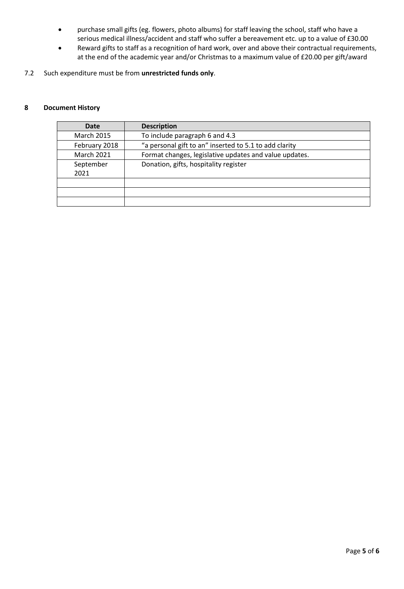- purchase small gifts (eg. flowers, photo albums) for staff leaving the school, staff who have a serious medical illness/accident and staff who suffer a bereavement etc. up to a value of £30.00
- Reward gifts to staff as a recognition of hard work, over and above their contractual requirements, at the end of the academic year and/or Christmas to a maximum value of £20.00 per gift/award
- 7.2 Such expenditure must be from **unrestricted funds only**.

#### <span id="page-4-0"></span>**8 Document History**

| Date              | <b>Description</b>                                     |  |  |
|-------------------|--------------------------------------------------------|--|--|
| <b>March 2015</b> | To include paragraph 6 and 4.3                         |  |  |
| February 2018     | "a personal gift to an" inserted to 5.1 to add clarity |  |  |
| <b>March 2021</b> | Format changes, legislative updates and value updates. |  |  |
| September         | Donation, gifts, hospitality register                  |  |  |
| 2021              |                                                        |  |  |
|                   |                                                        |  |  |
|                   |                                                        |  |  |
|                   |                                                        |  |  |